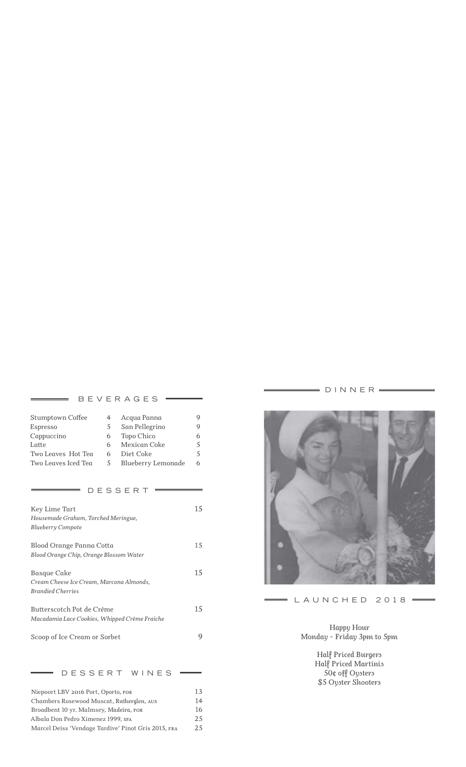#### BEVERAGES =

| <b>Stumptown Coffee</b> |   | Acqua Panna        |   |
|-------------------------|---|--------------------|---|
| Espresso                | 5 | San Pellegrino     |   |
| Cappuccino              | 6 | Topo Chico         | h |
| Latte                   | 6 | Mexican Coke       |   |
| Two Leaves Hot Tea      | 6 | Diet Coke          |   |
| Two Leaves Iced Tea     | 5 | Blueberry Lemonade | h |

### $=$  DESSERT  $=$

| Key Lime Tart<br>Housemade Graham, Torched Meringue,<br>Blueberry Compote                  |     |
|--------------------------------------------------------------------------------------------|-----|
| Blood Orange Panna Cotta<br>Blood Orange Chip, Orange Blossom Water                        | 1.5 |
| <b>Basque Cake</b><br>Cream Cheese Ice Cream, Marcona Almonds.<br><b>Brandied Cherries</b> | 15  |
| Butterscotch Pot de Crème<br>Macadamia Lace Cookies, Whipped Crème Fraiche                 | 15  |
| Scoop of Ice Cream or Sorbet                                                               |     |

 $=$  DESSERT WINES  $=$ 

| Niepoort LBV 2016 Port, Oporto, POR                 |     |
|-----------------------------------------------------|-----|
| Chambers Rosewood Muscat, Rutherglen, AUS           | 14  |
| Broadbent 10 yr. Malmsey, Madeira, POR              | 16  |
| Albala Don Pedro Ximenez 1999, SPA                  |     |
| Marcel Deiss 'Vendage Tardive' Pinot Gris 2015, FRA | 2.5 |
|                                                     |     |

 $=$  DINNER  $=$ 



# $=$  LAUNCHED 2018  $=$

*Happy Hour Monday - Friday 3pm to 5pm*

> *Half Priced Burgers Half Priced Martinis 50¢ off Oysters \$5 Oyster Shooters*